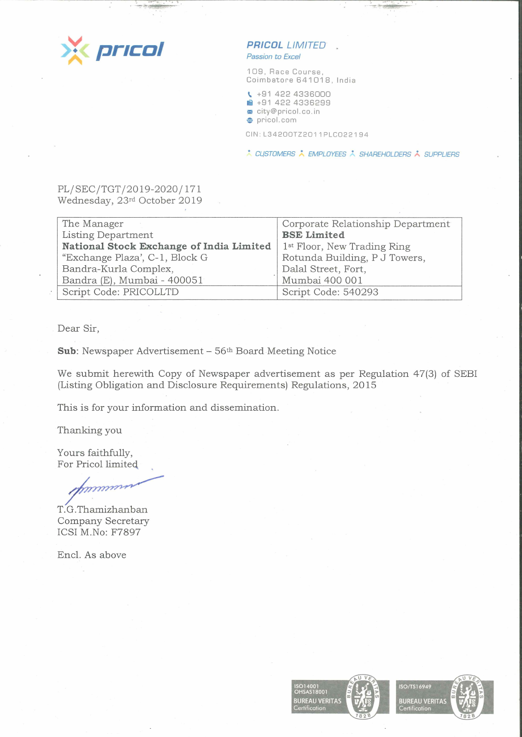

## **PR/COL LIMITED'**

*Passion to Excel* 

109, Race Course, Coimbatore 641018, India

**t..** +91 422 4336000 **■ +91 422 4336299** <sup>~</sup>city@pricol .co. in

**e** pricol. com

CIN:L34200TZ2011PLC022194

\* CUSTOMERS \* EMPLOYEES \* SHAREHOLDERS \* SUPPLIERS

### PL/SEC/TGT/2019-2020/171 Wednesday, 23rd October 2019

| The Manager                              | Corporate Relationship Department       |
|------------------------------------------|-----------------------------------------|
| Listing Department                       | <b>BSE Limited</b>                      |
| National Stock Exchange of India Limited | 1 <sup>st</sup> Floor, New Trading Ring |
| "Exchange Plaza', C-1, Block G           | Rotunda Building, P J Towers,           |
| Bandra-Kurla Complex,                    | Dalal Street, Fort,                     |
| Bandra (E), Mumbai - 400051              | Mumbai 400 001                          |
| Script Code: PRICOLLTD                   | Script Code: 540293                     |
|                                          |                                         |

Dear Sir,

**Sub:** Newspaper Advertisement - 56th Board Meeting Notice

We submit herewith Copy of Newspaper advertisement as per Regulation 47(3) of SEBI (Listing Obligation and Disclosure Requirements) Regulations, 2015

This is for your information and dissemination.

Thanking you

Yours faithfully, For Pricol limited

mmm

T.G.Thamizhanban Company Secretary ICSI M.No: F7897

Encl. As above